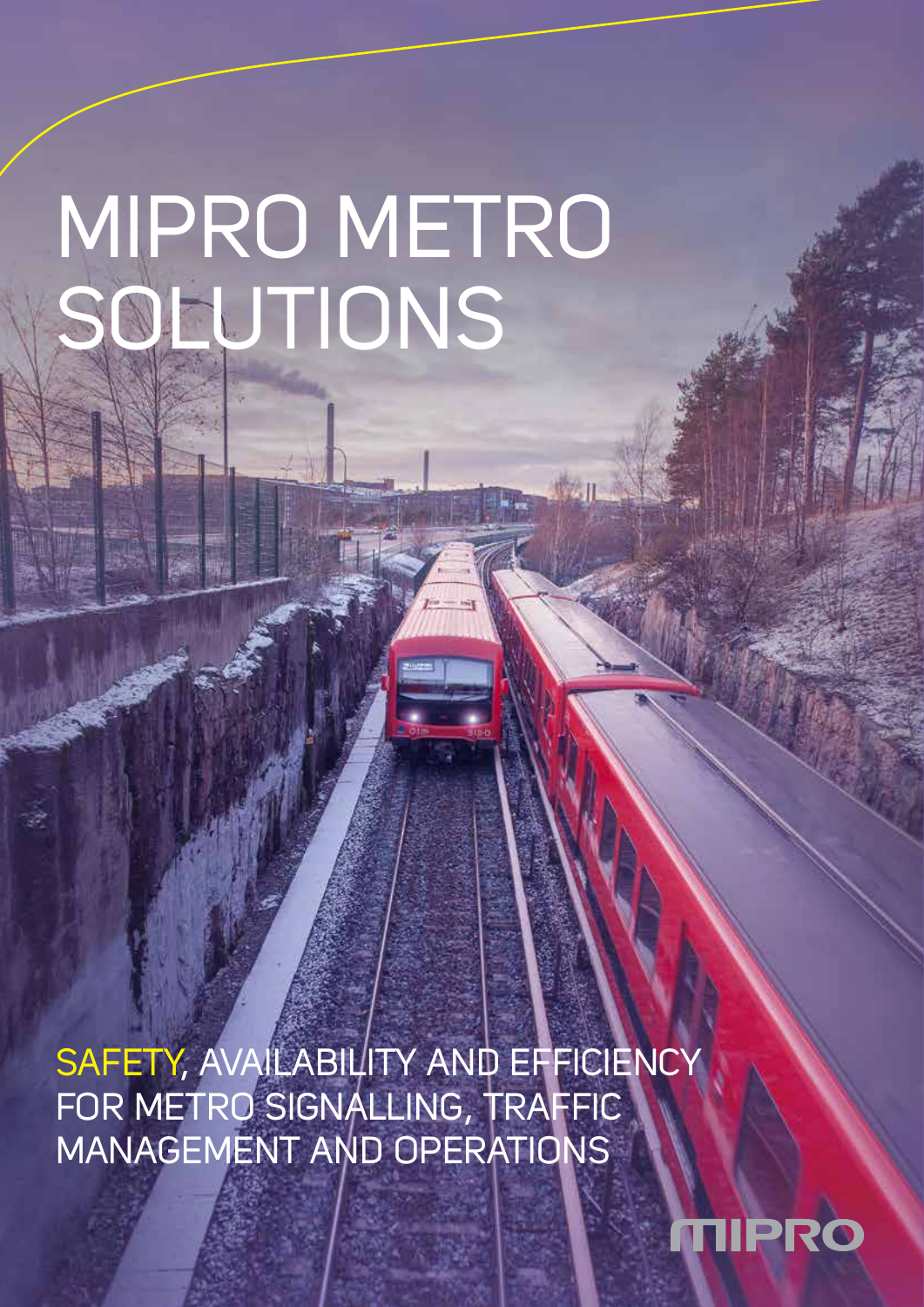# MIPRO METRO SOLUTIONS

SAFETY, AVAILABILITY AND EFFICIENCY FOR METRO SIGNALLING, TRAFFIC MANAGEMENT AND OPERATIONS

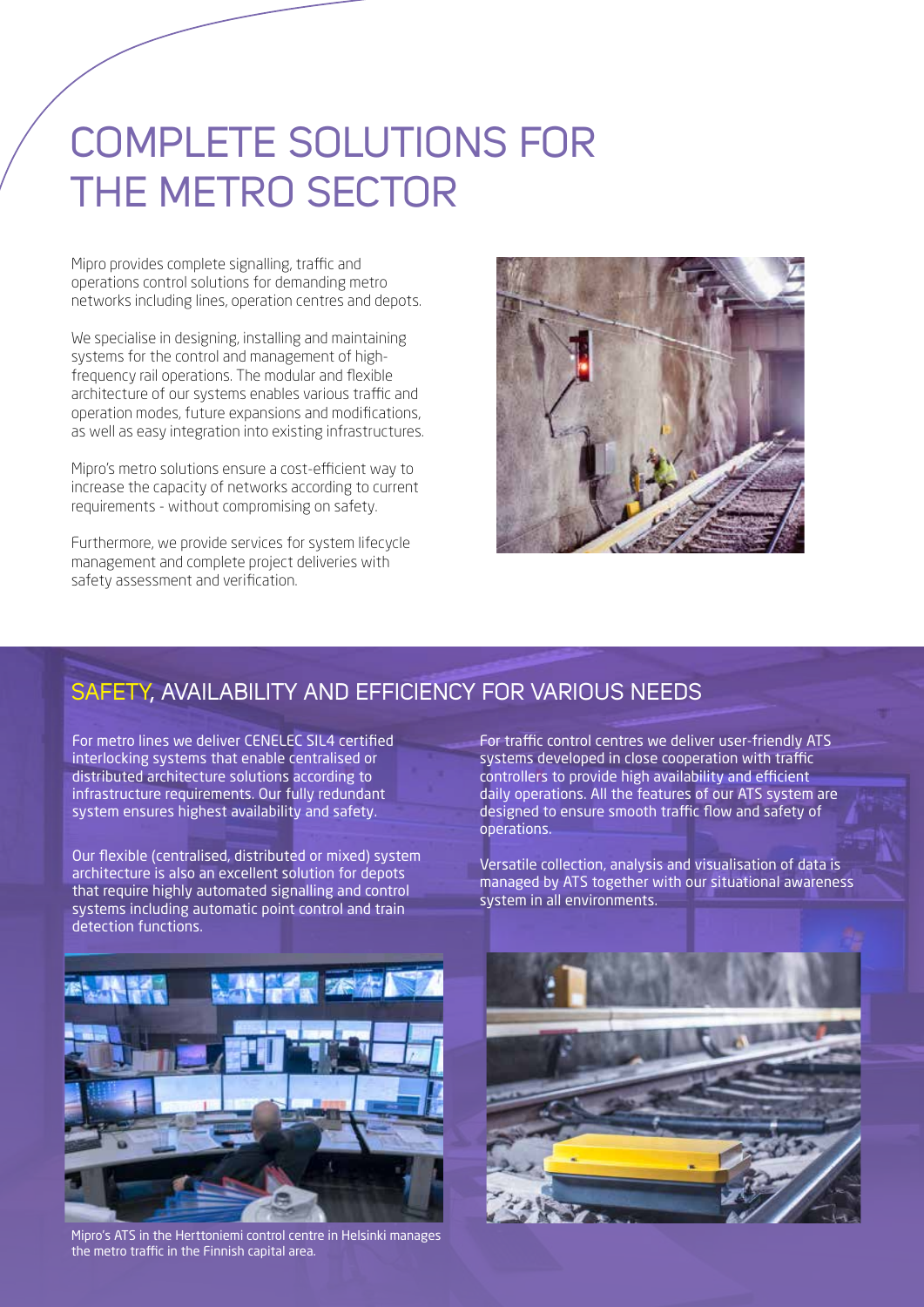# COMPLETE SOLUTIONS FOR THE METRO SECTOR

Mipro provides complete signalling, traffic and operations control solutions for demanding metro networks including lines, operation centres and depots.

We specialise in designing, installing and maintaining systems for the control and management of highfrequency rail operations. The modular and flexible architecture of our systems enables various traffic and operation modes, future expansions and modifications, as well as easy integration into existing infrastructures.

Mipro's metro solutions ensure a cost-efficient way to increase the capacity of networks according to current requirements - without compromising on safety.

Furthermore, we provide services for system lifecycle management and complete project deliveries with safety assessment and verification.



#### SAFETY, AVAILABILITY AND EFFICIENCY FOR VARIOUS NEEDS

For metro lines we deliver CENELEC SIL4 certified interlocking systems that enable centralised or distributed architecture solutions according to infrastructure requirements. Our fully redundant system ensures highest availability and safety.

Our flexible (centralised, distributed or mixed) system architecture is also an excellent solution for depots that require highly automated signalling and control systems including automatic point control and train detection functions.

For traffic control centres we deliver user-friendly ATS systems developed in close cooperation with traffic controllers to provide high availability and efficient daily operations. All the features of our ATS system are designed to ensure smooth traffic flow and safety of operations.

Versatile collection, analysis and visualisation of data is managed by ATS together with our situational awareness system in all environments.



Mipro's ATS in the Herttoniemi control centre in Helsinki manages the metro traffic in the Finnish capital area.

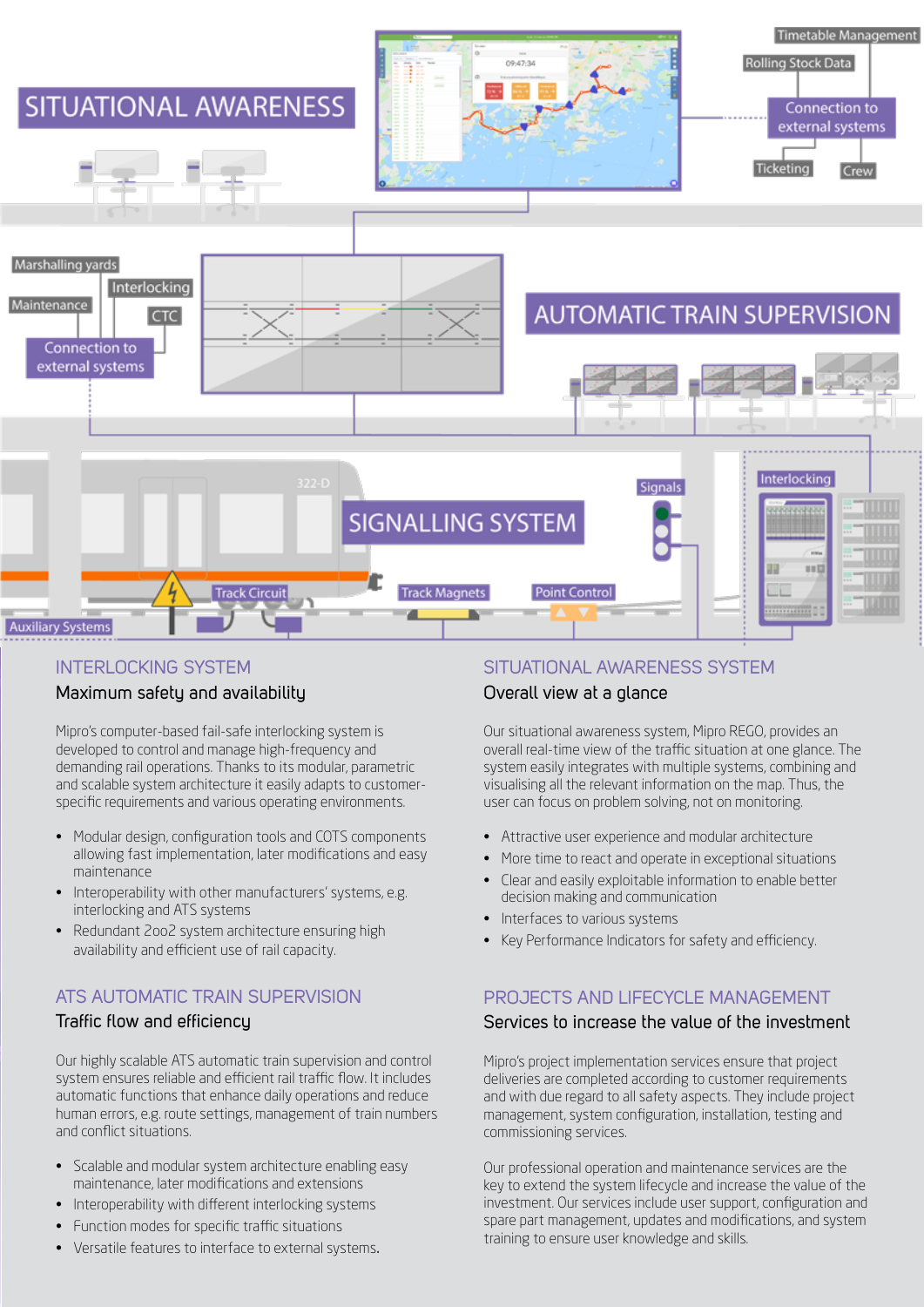

#### **INTERLOCKING SYSTEM**

#### Maximum safety and availability

Mipro's computer-based fail-safe interlocking system is developed to control and manage high-frequency and demanding rail operations. Thanks to its modular, parametric and scalable system architecture it easily adapts to customerspecific requirements and various operating environments.

- Modular design, configuration tools and COTS components allowing fast implementation, later modifications and easy maintenance
- Interoperability with other manufacturers' systems, e.g. interlocking and ATS systems
- Redundant 2oo2 system architecture ensuring high availability and efficient use of rail capacity.

#### ATS AUTOMATIC TRAIN SUPERVISION

#### Traffic flow and efficiency

Our highly scalable ATS automatic train supervision and control system ensures reliable and efficient rail traffic flow. It includes automatic functions that enhance daily operations and reduce human errors, e.g. route settings, management of train numbers and conflict situations.

- Scalable and modular system architecture enabling easy maintenance, later modifications and extensions
- Interoperability with different interlocking systems
- Function modes for specific traffic situations
- Versatile features to interface to external systems.

#### SITUATIONAL AWARENESS SYSTEM

#### Overall view at a glance

Our situational awareness system, Mipro REGO, provides an overall real-time view of the traffic situation at one glance. The system easily integrates with multiple systems, combining and visualising all the relevant information on the map. Thus, the user can focus on problem solving, not on monitoring.

- Attractive user experience and modular architecture
- More time to react and operate in exceptional situations
- Clear and easily exploitable information to enable better decision making and communication
- Interfaces to various systems
- Key Performance Indicators for safety and efficiency.

#### PROJECTS AND LIFECYCLE MANAGEMENT

#### Services to increase the value of the investment

Mipro's project implementation services ensure that project deliveries are completed according to customer requirements and with due regard to all safety aspects. They include project management, system configuration, installation, testing and commissioning services.

Our professional operation and maintenance services are the key to extend the system lifecycle and increase the value of the investment. Our services include user support, configuration and spare part management, updates and modifications, and system training to ensure user knowledge and skills.